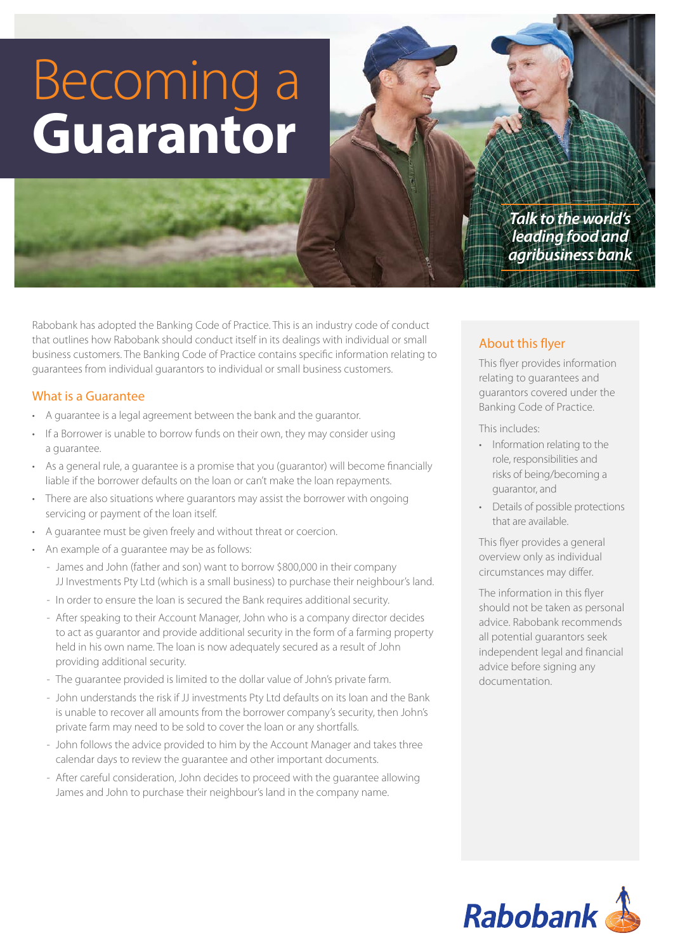# Becoming a **Guarantor**

*Talk to the world's leading food and agribusiness bank*

Rabobank has adopted the Banking Code of Practice. This is an industry code of conduct that outlines how Rabobank should conduct itself in its dealings with individual or small business customers. The Banking Code of Practice contains specific information relating to guarantees from individual guarantors to individual or small business customers.

#### What is a Guarantee

- A guarantee is a legal agreement between the bank and the guarantor.
- If a Borrower is unable to borrow funds on their own, they may consider using a guarantee.
- As a general rule, a guarantee is a promise that you (guarantor) will become financially liable if the borrower defaults on the loan or can't make the loan repayments.
- There are also situations where guarantors may assist the borrower with ongoing servicing or payment of the loan itself.
- A guarantee must be given freely and without threat or coercion.
- An example of a guarantee may be as follows:
	- James and John (father and son) want to borrow \$800,000 in their company JJ Investments Pty Ltd (which is a small business) to purchase their neighbour's land.
	- In order to ensure the loan is secured the Bank requires additional security.
	- After speaking to their Account Manager, John who is a company director decides to act as guarantor and provide additional security in the form of a farming property held in his own name. The loan is now adequately secured as a result of John providing additional security.
	- The guarantee provided is limited to the dollar value of John's private farm.
	- John understands the risk if JJ investments Pty Ltd defaults on its loan and the Bank is unable to recover all amounts from the borrower company's security, then John's private farm may need to be sold to cover the loan or any shortfalls.
	- John follows the advice provided to him by the Account Manager and takes three calendar days to review the guarantee and other important documents.
	- After careful consideration, John decides to proceed with the guarantee allowing James and John to purchase their neighbour's land in the company name.

## About this flyer

This flyer provides information relating to guarantees and guarantors covered under the Banking Code of Practice.

This includes:

- Information relating to the role, responsibilities and risks of being/becoming a guarantor, and
- Details of possible protections that are available.

This flyer provides a general overview only as individual circumstances may differ.

The information in this flyer should not be taken as personal advice. Rabobank recommends all potential guarantors seek independent legal and financial advice before signing any documentation.